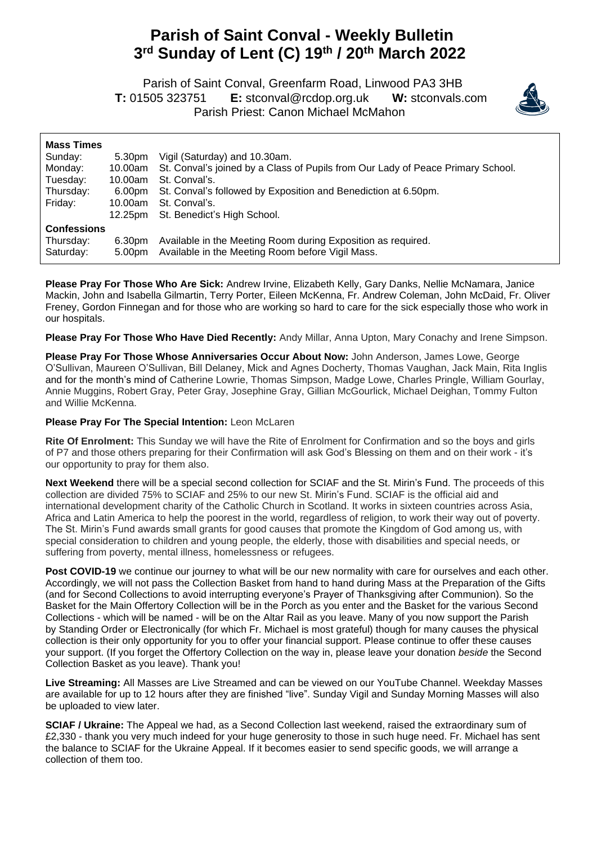## **Parish of Saint Conval - Weekly Bulletin 3 rd Sunday of Lent (C) 19 th / 20th March 2022**

 Parish of Saint Conval, Greenfarm Road, Linwood PA3 3HB **T:** 01505 323751 **E:** [stconval@rcdop.org.uk](mailto:stconval@rcdop.org.uk) **W:** stconvals.com Parish Priest: Canon Michael McMahon



| 5.30pm<br>10.00am<br>10.00am<br>6.00pm<br>10.00am<br>12.25pm | Vigil (Saturday) and 10.30am.<br>St. Conval's joined by a Class of Pupils from Our Lady of Peace Primary School.<br>St. Conval's.<br>St. Conval's followed by Exposition and Benediction at 6.50pm.<br>St. Conval's.<br>St. Benedict's High School. |
|--------------------------------------------------------------|-----------------------------------------------------------------------------------------------------------------------------------------------------------------------------------------------------------------------------------------------------|
|                                                              |                                                                                                                                                                                                                                                     |
| 6.30pm                                                       | Available in the Meeting Room during Exposition as required.<br>Available in the Meeting Room before Vigil Mass.                                                                                                                                    |
|                                                              | 5.00pm                                                                                                                                                                                                                                              |

**Please Pray For Those Who Are Sick:** Andrew Irvine, Elizabeth Kelly, Gary Danks, Nellie McNamara, Janice Mackin, John and Isabella Gilmartin, Terry Porter, Eileen McKenna, Fr. Andrew Coleman, John McDaid, Fr. Oliver Freney, Gordon Finnegan and for those who are working so hard to care for the sick especially those who work in our hospitals.

**Please Pray For Those Who Have Died Recently:** Andy Millar, Anna Upton, Mary Conachy and Irene Simpson.

**Please Pray For Those Whose Anniversaries Occur About Now:** John Anderson, James Lowe, George O'Sullivan, Maureen O'Sullivan, Bill Delaney, Mick and Agnes Docherty, Thomas Vaughan, Jack Main, Rita Inglis and for the month's mind of Catherine Lowrie, Thomas Simpson, Madge Lowe, Charles Pringle, William Gourlay, Annie Muggins, Robert Gray, Peter Gray, Josephine Gray, Gillian McGourlick, Michael Deighan, Tommy Fulton and Willie McKenna.

## **Please Pray For The Special Intention:** Leon McLaren

**Rite Of Enrolment:** This Sunday we will have the Rite of Enrolment for Confirmation and so the boys and girls of P7 and those others preparing for their Confirmation will ask God's Blessing on them and on their work - it's our opportunity to pray for them also.

**Next Weekend** there will be a special second collection for SCIAF and the St. Mirin's Fund. The proceeds of this collection are divided 75% to SCIAF and 25% to our new St. Mirin's Fund. SCIAF is the official aid and international development charity of the Catholic Church in Scotland. It works in sixteen countries across Asia, Africa and Latin America to help the poorest in the world, regardless of religion, to work their way out of poverty. The St. Mirin's Fund awards small grants for good causes that promote the Kingdom of God among us, with special consideration to children and young people, the elderly, those with disabilities and special needs, or suffering from poverty, mental illness, homelessness or refugees.

**Post COVID-19** we continue our journey to what will be our new normality with care for ourselves and each other. Accordingly, we will not pass the Collection Basket from hand to hand during Mass at the Preparation of the Gifts (and for Second Collections to avoid interrupting everyone's Prayer of Thanksgiving after Communion). So the Basket for the Main Offertory Collection will be in the Porch as you enter and the Basket for the various Second Collections - which will be named - will be on the Altar Rail as you leave. Many of you now support the Parish by Standing Order or Electronically (for which Fr. Michael is most grateful) though for many causes the physical collection is their only opportunity for you to offer your financial support. Please continue to offer these causes your support. (If you forget the Offertory Collection on the way in, please leave your donation *beside* the Second Collection Basket as you leave). Thank you!

**Live Streaming:** All Masses are Live Streamed and can be viewed on our YouTube Channel. Weekday Masses are available for up to 12 hours after they are finished "live". Sunday Vigil and Sunday Morning Masses will also be uploaded to view later.

**SCIAF / Ukraine:** The Appeal we had, as a Second Collection last weekend, raised the extraordinary sum of £2,330 - thank you very much indeed for your huge generosity to those in such huge need. Fr. Michael has sent the balance to SCIAF for the Ukraine Appeal. If it becomes easier to send specific goods, we will arrange a collection of them too.